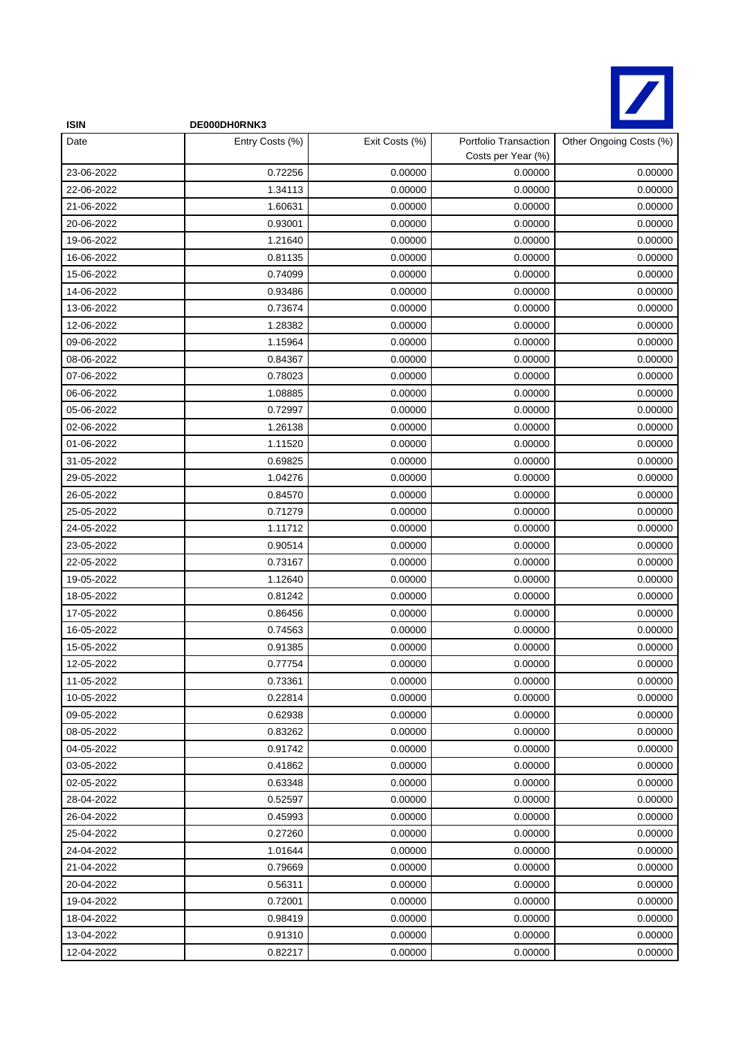

| <b>ISIN</b> | DE000DH0RNK3    |                |                                             |                         |
|-------------|-----------------|----------------|---------------------------------------------|-------------------------|
| Date        | Entry Costs (%) | Exit Costs (%) | Portfolio Transaction<br>Costs per Year (%) | Other Ongoing Costs (%) |
| 23-06-2022  | 0.72256         | 0.00000        | 0.00000                                     | 0.00000                 |
| 22-06-2022  | 1.34113         | 0.00000        | 0.00000                                     | 0.00000                 |
| 21-06-2022  | 1.60631         | 0.00000        | 0.00000                                     | 0.00000                 |
| 20-06-2022  | 0.93001         | 0.00000        | 0.00000                                     | 0.00000                 |
| 19-06-2022  | 1.21640         | 0.00000        | 0.00000                                     | 0.00000                 |
| 16-06-2022  | 0.81135         | 0.00000        | 0.00000                                     | 0.00000                 |
| 15-06-2022  | 0.74099         | 0.00000        | 0.00000                                     | 0.00000                 |
| 14-06-2022  | 0.93486         | 0.00000        | 0.00000                                     | 0.00000                 |
| 13-06-2022  | 0.73674         | 0.00000        | 0.00000                                     | 0.00000                 |
| 12-06-2022  | 1.28382         | 0.00000        | 0.00000                                     | 0.00000                 |
| 09-06-2022  | 1.15964         | 0.00000        | 0.00000                                     | 0.00000                 |
| 08-06-2022  | 0.84367         | 0.00000        | 0.00000                                     | 0.00000                 |
| 07-06-2022  | 0.78023         | 0.00000        | 0.00000                                     | 0.00000                 |
| 06-06-2022  | 1.08885         | 0.00000        | 0.00000                                     | 0.00000                 |
| 05-06-2022  | 0.72997         | 0.00000        | 0.00000                                     | 0.00000                 |
| 02-06-2022  | 1.26138         | 0.00000        | 0.00000                                     | 0.00000                 |
| 01-06-2022  | 1.11520         | 0.00000        | 0.00000                                     | 0.00000                 |
| 31-05-2022  | 0.69825         | 0.00000        | 0.00000                                     | 0.00000                 |
| 29-05-2022  | 1.04276         | 0.00000        | 0.00000                                     | 0.00000                 |
| 26-05-2022  | 0.84570         | 0.00000        | 0.00000                                     | 0.00000                 |
| 25-05-2022  | 0.71279         | 0.00000        | 0.00000                                     | 0.00000                 |
| 24-05-2022  | 1.11712         | 0.00000        | 0.00000                                     | 0.00000                 |
| 23-05-2022  | 0.90514         | 0.00000        | 0.00000                                     | 0.00000                 |
| 22-05-2022  | 0.73167         | 0.00000        | 0.00000                                     | 0.00000                 |
| 19-05-2022  | 1.12640         | 0.00000        | 0.00000                                     | 0.00000                 |
| 18-05-2022  | 0.81242         | 0.00000        | 0.00000                                     | 0.00000                 |
| 17-05-2022  | 0.86456         | 0.00000        | 0.00000                                     | 0.00000                 |
| 16-05-2022  | 0.74563         | 0.00000        | 0.00000                                     | 0.00000                 |
| 15-05-2022  | 0.91385         | 0.00000        | 0.00000                                     | 0.00000                 |
| 12-05-2022  | 0.77754         | 0.00000        | 0.00000                                     | 0.00000                 |
| 11-05-2022  | 0.73361         | 0.00000        | 0.00000                                     | 0.00000                 |
| 10-05-2022  | 0.22814         | 0.00000        | 0.00000                                     | 0.00000                 |
| 09-05-2022  | 0.62938         | 0.00000        | 0.00000                                     | 0.00000                 |
| 08-05-2022  | 0.83262         | 0.00000        | 0.00000                                     | 0.00000                 |
| 04-05-2022  | 0.91742         | 0.00000        | 0.00000                                     | 0.00000                 |
| 03-05-2022  | 0.41862         | 0.00000        | 0.00000                                     | 0.00000                 |
| 02-05-2022  | 0.63348         | 0.00000        | 0.00000                                     | 0.00000                 |
| 28-04-2022  | 0.52597         | 0.00000        | 0.00000                                     | 0.00000                 |
| 26-04-2022  | 0.45993         | 0.00000        | 0.00000                                     | 0.00000                 |
| 25-04-2022  | 0.27260         | 0.00000        | 0.00000                                     | 0.00000                 |
| 24-04-2022  | 1.01644         | 0.00000        | 0.00000                                     | 0.00000                 |
| 21-04-2022  | 0.79669         | 0.00000        | 0.00000                                     | 0.00000                 |
| 20-04-2022  | 0.56311         | 0.00000        | 0.00000                                     | 0.00000                 |
| 19-04-2022  | 0.72001         | 0.00000        | 0.00000                                     | 0.00000                 |
| 18-04-2022  | 0.98419         | 0.00000        | 0.00000                                     | 0.00000                 |
| 13-04-2022  | 0.91310         | 0.00000        | 0.00000                                     | 0.00000                 |
| 12-04-2022  | 0.82217         | 0.00000        | 0.00000                                     | 0.00000                 |